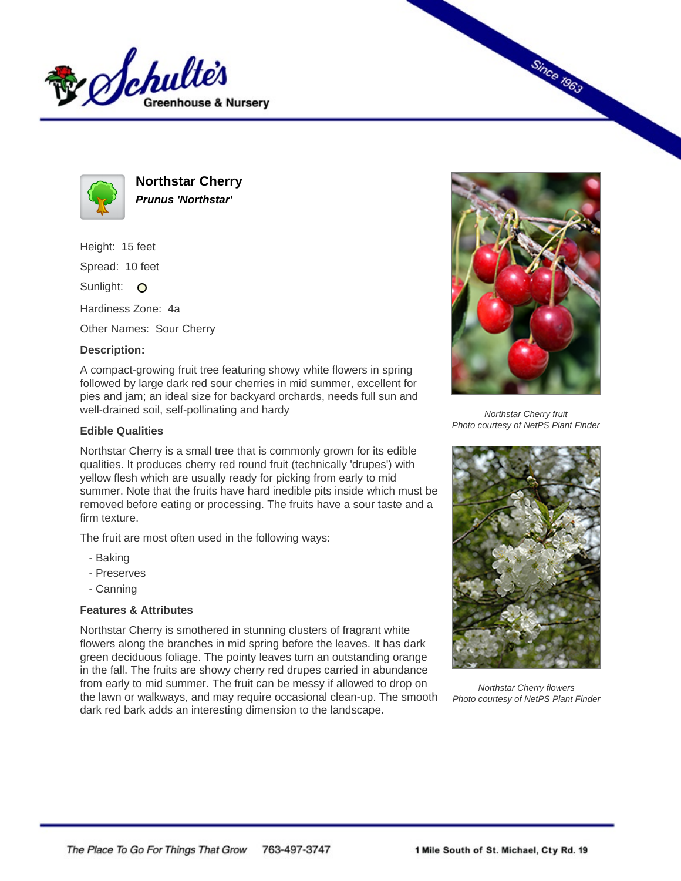



**Northstar Cherry Prunus 'Northstar'**

Height: 15 feet

Spread: 10 feet

Sunlight: O

Hardiness Zone: 4a

Other Names: Sour Cherry

## **Description:**

A compact-growing fruit tree featuring showy white flowers in spring followed by large dark red sour cherries in mid summer, excellent for pies and jam; an ideal size for backyard orchards, needs full sun and well-drained soil, self-pollinating and hardy

## **Edible Qualities**

Northstar Cherry is a small tree that is commonly grown for its edible qualities. It produces cherry red round fruit (technically 'drupes') with yellow flesh which are usually ready for picking from early to mid summer. Note that the fruits have hard inedible pits inside which must be removed before eating or processing. The fruits have a sour taste and a firm texture.

The fruit are most often used in the following ways:

- Baking
- Preserves
- Canning

## **Features & Attributes**

Northstar Cherry is smothered in stunning clusters of fragrant white flowers along the branches in mid spring before the leaves. It has dark green deciduous foliage. The pointy leaves turn an outstanding orange in the fall. The fruits are showy cherry red drupes carried in abundance from early to mid summer. The fruit can be messy if allowed to drop on the lawn or walkways, and may require occasional clean-up. The smooth dark red bark adds an interesting dimension to the landscape.



**Since 1963** 

Northstar Cherry fruit Photo courtesy of NetPS Plant Finder



Northstar Cherry flowers Photo courtesy of NetPS Plant Finder